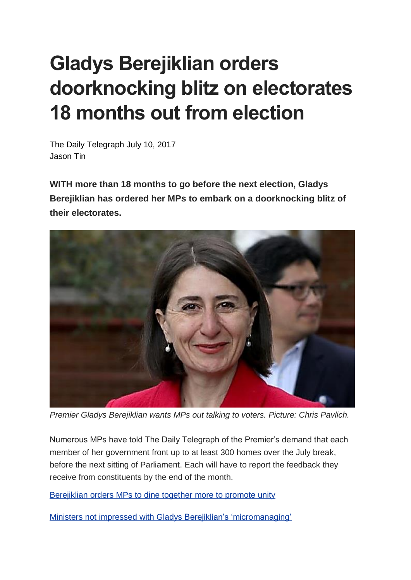## **Gladys Berejiklian orders doorknocking blitz on electorates 18 months out from election**

The Daily Telegraph July 10, 2017 Jason Tin

**WITH more than 18 months to go before the next election, Gladys Berejiklian has ordered her MPs to embark on a doorknocking blitz of their electorates.**



*Premier Gladys Berejiklian wants MPs out talking to voters. Picture: Chris Pavlich.*

Numerous MPs have told The Daily Telegraph of the Premier's demand that each member of her government front up to at least 300 homes over the July break, before the next sitting of Parliament. Each will have to report the feedback they receive from constituents by the end of the month.

[Berejiklian](http://www.dailytelegraph.com.au/news/nsw/gladys-berejiklian-orders-mps-to-dine-together-more-often-to-promote-unity/news-story/abd67d1390ace4904d222d876f5a3224) orders MPs to dine together more to promote unity

Ministers not impressed with Gladys Berejiklian's ['micromanaging'](http://www.dailytelegraph.com.au/news/nsw/cabinet-ministers-not-impressed-with-gladys-berejiklians-micromanaging-approach/news-story/272b4520131202a3cf3642a718d40e98)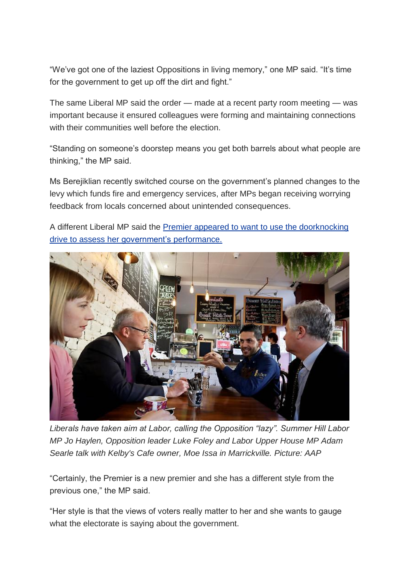"We've got one of the laziest Oppositions in living memory," one MP said. "It's time for the government to get up off the dirt and fight."

The same Liberal MP said the order — made at a recent party room meeting — was important because it ensured colleagues were forming and maintaining connections with their communities well before the election.

"Standing on someone's doorstep means you get both barrels about what people are thinking," the MP said.

Ms Berejiklian recently switched course on the government's planned changes to the levy which funds fire and emergency services, after MPs began receiving worrying feedback from locals concerned about unintended consequences.

A different Liberal MP said the Premier appeared to want to use the [doorknocking](http://www.dailytelegraph.com.au/news/nsw/gladys-berejiklian-unanimously-elected-nsws-first-woman-liberal-premier/news-story/4081602e2105cd339b2cd62ec5e8cfe0) drive to assess her [government's](http://www.dailytelegraph.com.au/news/nsw/gladys-berejiklian-unanimously-elected-nsws-first-woman-liberal-premier/news-story/4081602e2105cd339b2cd62ec5e8cfe0) performance.



*Liberals have taken aim at Labor, calling the Opposition "lazy". Summer Hill Labor MP Jo Haylen, Opposition leader Luke Foley and Labor Upper House MP Adam Searle talk with Kelby's Cafe owner, Moe Issa in Marrickville. Picture: AAP*

"Certainly, the Premier is a new premier and she has a different style from the previous one," the MP said.

"Her style is that the views of voters really matter to her and she wants to gauge what the electorate is saying about the government.